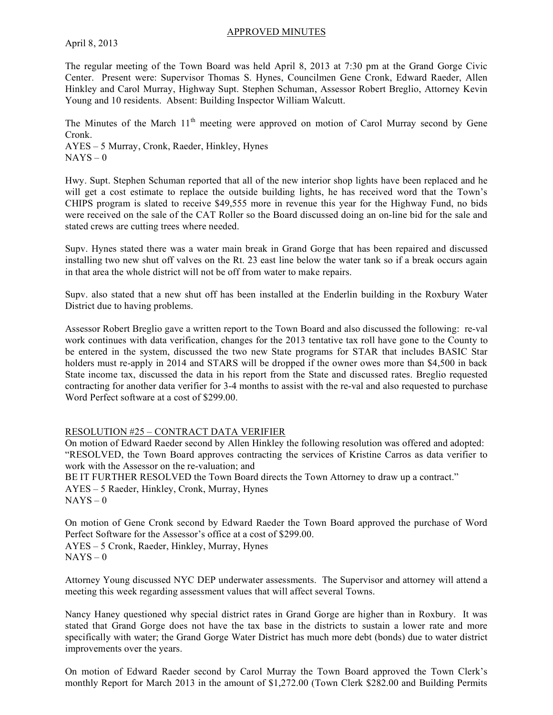### APPROVED MINUTES

### April 8, 2013

The regular meeting of the Town Board was held April 8, 2013 at 7:30 pm at the Grand Gorge Civic Center. Present were: Supervisor Thomas S. Hynes, Councilmen Gene Cronk, Edward Raeder, Allen Hinkley and Carol Murray, Highway Supt. Stephen Schuman, Assessor Robert Breglio, Attorney Kevin Young and 10 residents. Absent: Building Inspector William Walcutt.

The Minutes of the March  $11<sup>th</sup>$  meeting were approved on motion of Carol Murray second by Gene Cronk.

AYES – 5 Murray, Cronk, Raeder, Hinkley, Hynes  $NAYS - 0$ 

Hwy. Supt. Stephen Schuman reported that all of the new interior shop lights have been replaced and he will get a cost estimate to replace the outside building lights, he has received word that the Town's CHIPS program is slated to receive \$49,555 more in revenue this year for the Highway Fund, no bids were received on the sale of the CAT Roller so the Board discussed doing an on-line bid for the sale and stated crews are cutting trees where needed.

Supv. Hynes stated there was a water main break in Grand Gorge that has been repaired and discussed installing two new shut off valves on the Rt. 23 east line below the water tank so if a break occurs again in that area the whole district will not be off from water to make repairs.

Supv. also stated that a new shut off has been installed at the Enderlin building in the Roxbury Water District due to having problems.

Assessor Robert Breglio gave a written report to the Town Board and also discussed the following: re-val work continues with data verification, changes for the 2013 tentative tax roll have gone to the County to be entered in the system, discussed the two new State programs for STAR that includes BASIC Star holders must re-apply in 2014 and STARS will be dropped if the owner owes more than \$4,500 in back State income tax, discussed the data in his report from the State and discussed rates. Breglio requested contracting for another data verifier for 3-4 months to assist with the re-val and also requested to purchase Word Perfect software at a cost of \$299.00.

## RESOLUTION #25 – CONTRACT DATA VERIFIER

On motion of Edward Raeder second by Allen Hinkley the following resolution was offered and adopted: "RESOLVED, the Town Board approves contracting the services of Kristine Carros as data verifier to work with the Assessor on the re-valuation; and BE IT FURTHER RESOLVED the Town Board directs the Town Attorney to draw up a contract." AYES – 5 Raeder, Hinkley, Cronk, Murray, Hynes  $NAYS - 0$ 

On motion of Gene Cronk second by Edward Raeder the Town Board approved the purchase of Word Perfect Software for the Assessor's office at a cost of \$299.00. AYES – 5 Cronk, Raeder, Hinkley, Murray, Hynes  $NAYS - 0$ 

Attorney Young discussed NYC DEP underwater assessments. The Supervisor and attorney will attend a meeting this week regarding assessment values that will affect several Towns.

Nancy Haney questioned why special district rates in Grand Gorge are higher than in Roxbury. It was stated that Grand Gorge does not have the tax base in the districts to sustain a lower rate and more specifically with water; the Grand Gorge Water District has much more debt (bonds) due to water district improvements over the years.

On motion of Edward Raeder second by Carol Murray the Town Board approved the Town Clerk's monthly Report for March 2013 in the amount of \$1,272.00 (Town Clerk \$282.00 and Building Permits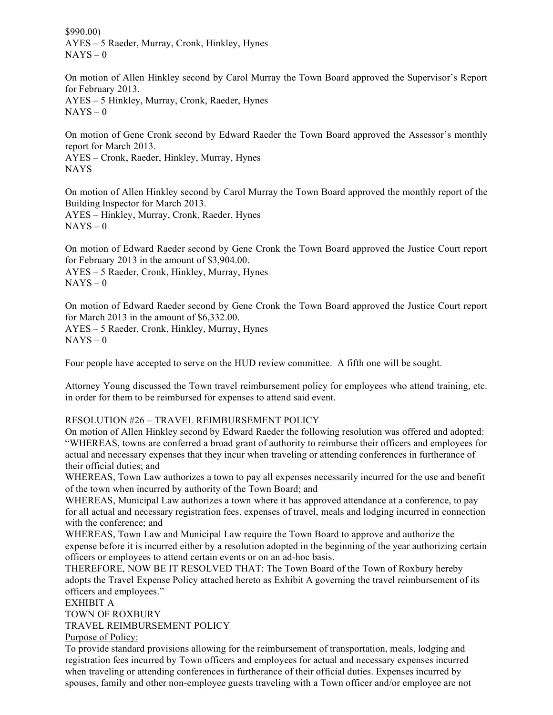\$990.00) AYES – 5 Raeder, Murray, Cronk, Hinkley, Hynes  $NAYS - 0$ 

On motion of Allen Hinkley second by Carol Murray the Town Board approved the Supervisor's Report for February 2013. AYES – 5 Hinkley, Murray, Cronk, Raeder, Hynes  $NAYS - 0$ 

On motion of Gene Cronk second by Edward Raeder the Town Board approved the Assessor's monthly report for March 2013. AYES – Cronk, Raeder, Hinkley, Murray, Hynes

NAYS

On motion of Allen Hinkley second by Carol Murray the Town Board approved the monthly report of the Building Inspector for March 2013. AYES – Hinkley, Murray, Cronk, Raeder, Hynes

 $NAYS - 0$ 

On motion of Edward Raeder second by Gene Cronk the Town Board approved the Justice Court report for February 2013 in the amount of \$3,904.00. AYES – 5 Raeder, Cronk, Hinkley, Murray, Hynes

 $NAYS - 0$ 

On motion of Edward Raeder second by Gene Cronk the Town Board approved the Justice Court report for March 2013 in the amount of \$6,332.00. AYES – 5 Raeder, Cronk, Hinkley, Murray, Hynes  $NAYS - 0$ 

Four people have accepted to serve on the HUD review committee. A fifth one will be sought.

Attorney Young discussed the Town travel reimbursement policy for employees who attend training, etc. in order for them to be reimbursed for expenses to attend said event.

# RESOLUTION #26 – TRAVEL REIMBURSEMENT POLICY

On motion of Allen Hinkley second by Edward Raeder the following resolution was offered and adopted: "WHEREAS, towns are conferred a broad grant of authority to reimburse their officers and employees for actual and necessary expenses that they incur when traveling or attending conferences in furtherance of their official duties; and

WHEREAS, Town Law authorizes a town to pay all expenses necessarily incurred for the use and benefit of the town when incurred by authority of the Town Board; and

WHEREAS, Municipal Law authorizes a town where it has approved attendance at a conference, to pay for all actual and necessary registration fees, expenses of travel, meals and lodging incurred in connection with the conference; and

WHEREAS, Town Law and Municipal Law require the Town Board to approve and authorize the expense before it is incurred either by a resolution adopted in the beginning of the year authorizing certain officers or employees to attend certain events or on an ad-hoc basis.

THEREFORE, NOW BE IT RESOLVED THAT: The Town Board of the Town of Roxbury hereby adopts the Travel Expense Policy attached hereto as Exhibit A governing the travel reimbursement of its officers and employees."

## EXHIBIT A

TOWN OF ROXBURY

TRAVEL REIMBURSEMENT POLICY

Purpose of Policy:

To provide standard provisions allowing for the reimbursement of transportation, meals, lodging and registration fees incurred by Town officers and employees for actual and necessary expenses incurred when traveling or attending conferences in furtherance of their official duties. Expenses incurred by spouses, family and other non-employee guests traveling with a Town officer and/or employee are not